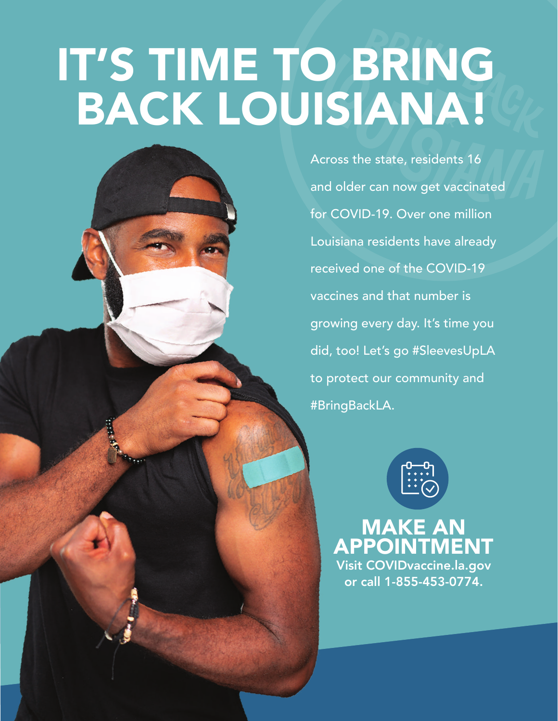# IT'S TIME TO BRING BACK LOUISIANA!

Across the state, residents 16 and older can now get vaccinated for COVID-19. Over one million Louisiana residents have already received one of the COVID-19 vaccines and that number is growing every day. It's time you did, too! Let's go #SleevesUpLA to protect our community and #BringBackLA.



MAKE AN APPOINTMENT Visit COVIDvaccine.la.gov or call 1-855-453-0774.